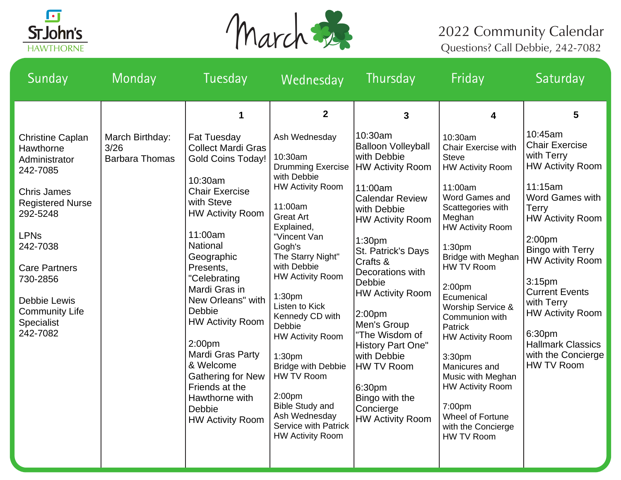



## Questions? Call Debbie, 242-7082

| Sunday                                                                                                                                                                                                                                                                         | Monday                                           | Tuesday                                                                                                                                                                                                                                                                                                                                                           | Wednesday                                                                                                                                                                                                                                                                                                                                                                                               | Thursday                                                                                                                                                                                                                                                                                                                                                                        | Friday                                                                                                                                                                                                                                                                                                                                                                             | Saturday                                                                                                                                                                                                                                                                                                                                                                                         |
|--------------------------------------------------------------------------------------------------------------------------------------------------------------------------------------------------------------------------------------------------------------------------------|--------------------------------------------------|-------------------------------------------------------------------------------------------------------------------------------------------------------------------------------------------------------------------------------------------------------------------------------------------------------------------------------------------------------------------|---------------------------------------------------------------------------------------------------------------------------------------------------------------------------------------------------------------------------------------------------------------------------------------------------------------------------------------------------------------------------------------------------------|---------------------------------------------------------------------------------------------------------------------------------------------------------------------------------------------------------------------------------------------------------------------------------------------------------------------------------------------------------------------------------|------------------------------------------------------------------------------------------------------------------------------------------------------------------------------------------------------------------------------------------------------------------------------------------------------------------------------------------------------------------------------------|--------------------------------------------------------------------------------------------------------------------------------------------------------------------------------------------------------------------------------------------------------------------------------------------------------------------------------------------------------------------------------------------------|
| <b>Christine Caplan</b><br>Hawthorne<br>Administrator<br>242-7085<br><b>Chris James</b><br><b>Registered Nurse</b><br>292-5248<br><b>LPNs</b><br>242-7038<br><b>Care Partners</b><br>730-2856<br><b>Debbie Lewis</b><br><b>Community Life</b><br><b>Specialist</b><br>242-7082 | March Birthday:<br>3/26<br><b>Barbara Thomas</b> | 1<br><b>Fat Tuesday</b><br><b>Collect Mardi Gras</b><br><b>Gold Coins Today!</b><br>10:30am<br><b>Chair Exercise</b><br>with Steve<br><b>HW Activity Room</b><br>11:00am<br>National<br>Geographic<br>Presents,<br>"Celebrating<br>Mardi Gras in<br>New Orleans" with<br>Debbie<br><b>HW Activity Room</b><br>2:00 <sub>pm</sub><br>Mardi Gras Party<br>& Welcome | $\mathbf{2}$<br>Ash Wednesday<br>10:30am<br><b>Drumming Exercise</b><br>with Debbie<br><b>HW Activity Room</b><br>11:00am<br><b>Great Art</b><br>Explained,<br>"Vincent Van<br>Gogh's<br>The Starry Night"<br>with Debbie<br><b>HW Activity Room</b><br>1:30 <sub>pm</sub><br>Listen to Kick<br>Kennedy CD with<br>Debbie<br><b>HW Activity Room</b><br>1:30 <sub>pm</sub><br><b>Bridge with Debbie</b> | $\mathbf{3}$<br>10:30am<br><b>Balloon Volleyball</b><br>with Debbie<br><b>HW Activity Room</b><br>11:00am<br><b>Calendar Review</b><br>with Debbie<br><b>HW Activity Room</b><br>1:30pm<br>St. Patrick's Days<br>Crafts &<br>Decorations with<br>Debbie<br><b>HW Activity Room</b><br>2:00pm<br>Men's Group<br>"The Wisdom of<br>History Part One"<br>with Debbie<br>HW TV Room | 4<br>10:30am<br>Chair Exercise with<br><b>Steve</b><br><b>HW Activity Room</b><br>11:00am<br>Word Games and<br>Scattegories with<br>Meghan<br><b>HW Activity Room</b><br>1:30 <sub>pm</sub><br>Bridge with Meghan<br><b>HW TV Room</b><br>2:00 <sub>pm</sub><br>Ecumenical<br>Worship Service &<br>Communion with<br>Patrick<br><b>HW Activity Room</b><br>3:30pm<br>Manicures and | 5<br>10:45am<br><b>Chair Exercise</b><br>with Terry<br><b>HW Activity Room</b><br>11:15am<br>Word Games with<br><b>Terry</b><br><b>HW Activity Room</b><br>2:00pm<br><b>Bingo with Terry</b><br><b>HW Activity Room</b><br>3:15 <sub>pm</sub><br><b>Current Events</b><br>with Terry<br><b>HW Activity Room</b><br>6:30pm<br><b>Hallmark Classics</b><br>with the Concierge<br><b>HW TV Room</b> |
|                                                                                                                                                                                                                                                                                |                                                  | <b>Gathering for New</b><br>Friends at the<br>Hawthorne with<br>Debbie<br><b>HW Activity Room</b>                                                                                                                                                                                                                                                                 | HW TV Room<br>2:00 <sub>pm</sub><br><b>Bible Study and</b><br>Ash Wednesday<br><b>Service with Patrick</b><br><b>HW Activity Room</b>                                                                                                                                                                                                                                                                   | 6:30pm<br>Bingo with the<br>Concierge<br><b>HW Activity Room</b>                                                                                                                                                                                                                                                                                                                | Music with Meghan<br><b>HW Activity Room</b><br>7:00pm<br>Wheel of Fortune<br>with the Concierge<br>HW TV Room                                                                                                                                                                                                                                                                     |                                                                                                                                                                                                                                                                                                                                                                                                  |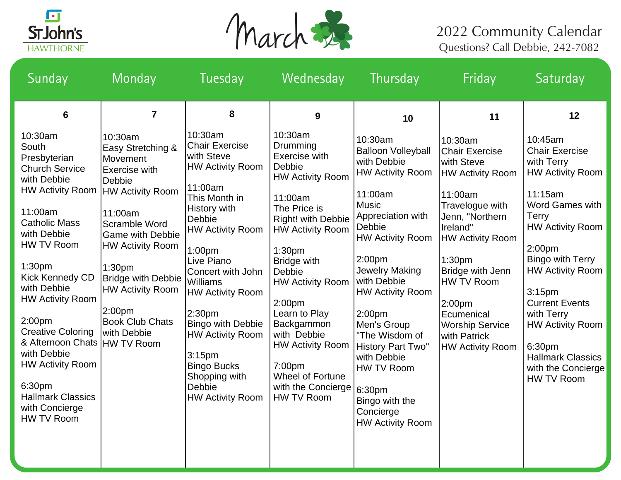



| Sunday                                                                                                                                                                                                                                                                                                                                                                                                                                               | Monday                                                                                                                                                                                                                                                                                                                                        | Tuesday                                                                                                                                                                                                                                                                                                                                                                                                                         | Wednesday                                                                                                                                                                                                                                                                                                                                                                                               | Thursday                                                                                                                                                                                                                                                                                                                                                                                                                                  | Friday                                                                                                                                                                                                                                                                                                                 | Saturday                                                                                                                                                                                                                                                                                                                                                                                           |
|------------------------------------------------------------------------------------------------------------------------------------------------------------------------------------------------------------------------------------------------------------------------------------------------------------------------------------------------------------------------------------------------------------------------------------------------------|-----------------------------------------------------------------------------------------------------------------------------------------------------------------------------------------------------------------------------------------------------------------------------------------------------------------------------------------------|---------------------------------------------------------------------------------------------------------------------------------------------------------------------------------------------------------------------------------------------------------------------------------------------------------------------------------------------------------------------------------------------------------------------------------|---------------------------------------------------------------------------------------------------------------------------------------------------------------------------------------------------------------------------------------------------------------------------------------------------------------------------------------------------------------------------------------------------------|-------------------------------------------------------------------------------------------------------------------------------------------------------------------------------------------------------------------------------------------------------------------------------------------------------------------------------------------------------------------------------------------------------------------------------------------|------------------------------------------------------------------------------------------------------------------------------------------------------------------------------------------------------------------------------------------------------------------------------------------------------------------------|----------------------------------------------------------------------------------------------------------------------------------------------------------------------------------------------------------------------------------------------------------------------------------------------------------------------------------------------------------------------------------------------------|
| 6                                                                                                                                                                                                                                                                                                                                                                                                                                                    | $\overline{7}$                                                                                                                                                                                                                                                                                                                                | 8                                                                                                                                                                                                                                                                                                                                                                                                                               | 9                                                                                                                                                                                                                                                                                                                                                                                                       | 10                                                                                                                                                                                                                                                                                                                                                                                                                                        | 11                                                                                                                                                                                                                                                                                                                     | 12                                                                                                                                                                                                                                                                                                                                                                                                 |
| 10:30am<br>South<br>Presbyterian<br><b>Church Service</b><br>with Debbie<br><b>HW Activity Room</b><br>11:00am<br><b>Catholic Mass</b><br>with Debbie<br>HW TV Room<br>1:30 <sub>pm</sub><br><b>Kick Kennedy CD</b><br>with Debbie<br><b>HW Activity Room</b><br>2:00 <sub>pm</sub><br><b>Creative Coloring</b><br>& Afternoon Chats<br>with Debbie<br><b>HW Activity Room</b><br>6:30pm<br><b>Hallmark Classics</b><br>with Concierge<br>HW TV Room | 10:30am<br>Easy Stretching &<br>Movement<br><b>Exercise with</b><br><b>Debbie</b><br><b>HW Activity Room</b><br>11:00am<br>Scramble Word<br><b>Game with Debbie</b><br><b>HW Activity Room</b><br>1:30 <sub>pm</sub><br><b>Bridge with Debbie</b><br><b>HW Activity Room</b><br>2:00pm<br><b>Book Club Chats</b><br>with Debbie<br>HW TV Room | 10:30am<br><b>Chair Exercise</b><br>with Steve<br><b>HW Activity Room</b><br>11:00am<br>This Month in<br>History with<br><b>Debbie</b><br><b>HW Activity Room</b><br>1:00pm<br>Live Piano<br>Concert with John<br><b>Williams</b><br><b>HW Activity Room</b><br>2:30pm<br><b>Bingo with Debbie</b><br>HW Activity Room<br>3:15 <sub>pm</sub><br><b>Bingo Bucks</b><br>Shopping with<br><b>Debbie</b><br><b>HW Activity Room</b> | 10:30am<br>Drumming<br>Exercise with<br>Debbie<br><b>HW Activity Room</b><br>11:00am<br>The Price is<br>Right! with Debbie<br><b>HW Activity Room</b><br>1:30 <sub>pm</sub><br><b>Bridge with</b><br>Debbie<br><b>HW Activity Room</b><br>2:00 <sub>pm</sub><br>Learn to Play<br>Backgammon<br>with Debbie<br><b>HW Activity Room</b><br>7:00pm<br>Wheel of Fortune<br>with the Concierge<br>HW TV Room | 10:30am<br><b>Balloon Volleyball</b><br>with Debbie<br><b>HW Activity Room</b><br>11:00am<br><b>Music</b><br>Appreciation with<br>Debbie<br><b>HW Activity Room</b><br>2:00 <sub>pm</sub><br><b>Jewelry Making</b><br>with Debbie<br><b>HW Activity Room</b><br>2:00 <sub>pm</sub><br>Men's Group<br>"The Wisdom of<br>History Part Two"<br>with Debbie<br>HW TV Room<br>6:30pm<br>Bingo with the<br>Concierge<br><b>HW Activity Room</b> | 10:30am<br><b>Chair Exercise</b><br>with Steve<br><b>HW Activity Room</b><br>11:00am<br>Travelogue with<br>Jenn, "Northern<br>Ireland"<br><b>HW Activity Room</b><br>1:30 <sub>pm</sub><br>Bridge with Jenn<br>HW TV Room<br>2:00pm<br>Ecumenical<br><b>Worship Service</b><br>with Patrick<br><b>HW Activity Room</b> | 10:45am<br><b>Chair Exercise</b><br>with Terry<br><b>HW Activity Room</b><br>11:15am<br><b>Word Games with</b><br><b>Terry</b><br><b>HW Activity Room</b><br>2:00pm<br><b>Bingo with Terry</b><br><b>HW Activity Room</b><br>3:15 <sub>pm</sub><br><b>Current Events</b><br>with Terry<br><b>HW Activity Room</b><br>6:30pm<br><b>Hallmark Classics</b><br>with the Concierge<br><b>HW TV Room</b> |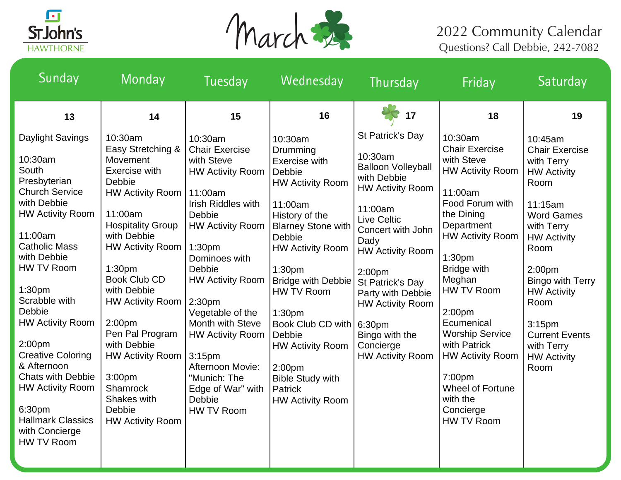



| Sunday                                                                                                                                                                                                                                                                                                                                                                                                                                                            | Monday                                                                                                                                                                                                                                                                                                                                                                                                                  | Tuesday                                                                                                                                                                                                                                                                                                                                                                                                                                   | Wednesday                                                                                                                                                                                                                                                                                                                                                                                                                        | Thursday                                                                                                                                                                                                                                                                                                                                        | Friday                                                                                                                                                                                                                                                                                                                                                                                                                         | Saturday                                                                                                                                                                                                                                                                                                               |
|-------------------------------------------------------------------------------------------------------------------------------------------------------------------------------------------------------------------------------------------------------------------------------------------------------------------------------------------------------------------------------------------------------------------------------------------------------------------|-------------------------------------------------------------------------------------------------------------------------------------------------------------------------------------------------------------------------------------------------------------------------------------------------------------------------------------------------------------------------------------------------------------------------|-------------------------------------------------------------------------------------------------------------------------------------------------------------------------------------------------------------------------------------------------------------------------------------------------------------------------------------------------------------------------------------------------------------------------------------------|----------------------------------------------------------------------------------------------------------------------------------------------------------------------------------------------------------------------------------------------------------------------------------------------------------------------------------------------------------------------------------------------------------------------------------|-------------------------------------------------------------------------------------------------------------------------------------------------------------------------------------------------------------------------------------------------------------------------------------------------------------------------------------------------|--------------------------------------------------------------------------------------------------------------------------------------------------------------------------------------------------------------------------------------------------------------------------------------------------------------------------------------------------------------------------------------------------------------------------------|------------------------------------------------------------------------------------------------------------------------------------------------------------------------------------------------------------------------------------------------------------------------------------------------------------------------|
| 13                                                                                                                                                                                                                                                                                                                                                                                                                                                                | 14                                                                                                                                                                                                                                                                                                                                                                                                                      | 15                                                                                                                                                                                                                                                                                                                                                                                                                                        | 16                                                                                                                                                                                                                                                                                                                                                                                                                               | 17                                                                                                                                                                                                                                                                                                                                              | 18                                                                                                                                                                                                                                                                                                                                                                                                                             | 19                                                                                                                                                                                                                                                                                                                     |
| Daylight Savings<br>10:30am<br>South<br>Presbyterian<br><b>Church Service</b><br>with Debbie<br><b>HW Activity Room</b><br>11:00am<br><b>Catholic Mass</b><br>with Debbie<br>HW TV Room<br>1:30 <sub>pm</sub><br>Scrabble with<br>Debbie<br><b>HW Activity Room</b><br>2:00 <sub>pm</sub><br><b>Creative Coloring</b><br>& Afternoon<br><b>Chats with Debbie</b><br><b>HW Activity Room</b><br>6:30pm<br><b>Hallmark Classics</b><br>with Concierge<br>HW TV Room | 10:30am<br>Easy Stretching &<br>Movement<br>Exercise with<br>Debbie<br><b>HW Activity Room</b><br>11:00am<br><b>Hospitality Group</b><br>with Debbie<br><b>HW Activity Room</b><br>1:30 <sub>pm</sub><br><b>Book Club CD</b><br>with Debbie<br><b>HW Activity Room</b><br>2:00pm<br>Pen Pal Program<br>with Debbie<br><b>HW Activity Room</b><br>3:00pm<br>Shamrock<br>Shakes with<br>Debbie<br><b>HW Activity Room</b> | 10:30am<br><b>Chair Exercise</b><br>with Steve<br><b>HW Activity Room</b><br>11:00am<br><b>Irish Riddles with</b><br>Debbie<br><b>HW Activity Room</b><br>1:30 <sub>pm</sub><br>Dominoes with<br>Debbie<br><b>HW Activity Room</b><br>2:30 <sub>pm</sub><br>Vegetable of the<br><b>Month with Steve</b><br><b>HW Activity Room</b><br>3:15 <sub>pm</sub><br>Afternoon Movie:<br>"Munich: The<br>Edge of War" with<br>Debbie<br>HW TV Room | 10:30am<br>Drumming<br>Exercise with<br>Debbie<br><b>HW Activity Room</b><br>11:00am<br>History of the<br><b>Blarney Stone with</b><br>Debbie<br><b>HW Activity Room</b><br>1:30 <sub>pm</sub><br>Bridge with Debbie<br>HW TV Room<br>1:30 <sub>pm</sub><br>Book Club CD with   6:30pm<br><b>Debbie</b><br><b>HW Activity Room</b><br>2:00 <sub>pm</sub><br><b>Bible Study with</b><br><b>Patrick</b><br><b>HW Activity Room</b> | St Patrick's Day<br>10:30am<br><b>Balloon Volleyball</b><br>with Debbie<br><b>HW Activity Room</b><br>11:00am<br><b>Live Celtic</b><br>Concert with John<br>Dady<br><b>HW Activity Room</b><br>2:00 <sub>pm</sub><br>St Patrick's Day<br>Party with Debbie<br><b>HW Activity Room</b><br>Bingo with the<br>Concierge<br><b>HW Activity Room</b> | 10:30am<br><b>Chair Exercise</b><br>with Steve<br><b>HW Activity Room</b><br>11:00am<br>Food Forum with<br>the Dining<br>Department<br><b>HW Activity Room</b><br>1:30 <sub>pm</sub><br><b>Bridge with</b><br>Meghan<br><b>HW TV Room</b><br>2:00 <sub>pm</sub><br>Ecumenical<br><b>Worship Service</b><br>with Patrick<br><b>HW Activity Room</b><br>7:00pm<br><b>Wheel of Fortune</b><br>with the<br>Concierge<br>HW TV Room | 10:45am<br><b>Chair Exercise</b><br>with Terry<br><b>HW Activity</b><br>Room<br>11:15am<br><b>Word Games</b><br>with Terry<br><b>HW Activity</b><br>Room<br>2:00 <sub>pm</sub><br><b>Bingo with Terry</b><br><b>HW Activity</b><br>Room<br>3:15pm<br><b>Current Events</b><br>with Terry<br><b>HW Activity</b><br>Room |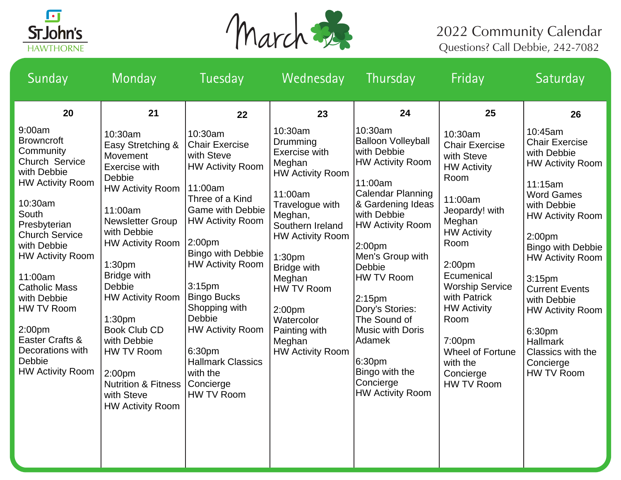



| Sunday                                                                                                                                                                                                                                                                            | Monday                                                                                                                                                                                                                                                                          | Tuesday                                                                                                                                                                                                                                                                                                                        | Wednesday                                                                                                                                                                                                                                                                       | Thursday                                                                                                                                                                                                                                                                               | Friday                                                                                                                                                                                                                                                              | Saturday                                                                                                                                                                                                                                                                                                                         |
|-----------------------------------------------------------------------------------------------------------------------------------------------------------------------------------------------------------------------------------------------------------------------------------|---------------------------------------------------------------------------------------------------------------------------------------------------------------------------------------------------------------------------------------------------------------------------------|--------------------------------------------------------------------------------------------------------------------------------------------------------------------------------------------------------------------------------------------------------------------------------------------------------------------------------|---------------------------------------------------------------------------------------------------------------------------------------------------------------------------------------------------------------------------------------------------------------------------------|----------------------------------------------------------------------------------------------------------------------------------------------------------------------------------------------------------------------------------------------------------------------------------------|---------------------------------------------------------------------------------------------------------------------------------------------------------------------------------------------------------------------------------------------------------------------|----------------------------------------------------------------------------------------------------------------------------------------------------------------------------------------------------------------------------------------------------------------------------------------------------------------------------------|
| 20<br>9:00am<br><b>Browncroft</b><br>Community<br>Church Service<br>with Debbie<br><b>HW Activity Room</b><br>10:30am<br>South<br>Presbyterian<br><b>Church Service</b><br>with Debbie<br><b>HW Activity Room</b><br>11:00am<br><b>Catholic Mass</b><br>with Debbie<br>HW TV Room | 21<br>10:30am<br>Easy Stretching &<br>Movement<br>Exercise with<br>Debbie<br><b>HW Activity Room</b><br>11:00am<br><b>Newsletter Group</b><br>with Debbie<br><b>HW Activity Room</b><br>1:30 <sub>pm</sub><br><b>Bridge with</b><br>Debbie<br><b>HW Activity Room</b><br>1:30pm | 22<br>10:30am<br><b>Chair Exercise</b><br>with Steve<br><b>HW Activity Room</b><br>11:00am<br>Three of a Kind<br><b>Game with Debbie</b><br><b>HW Activity Room</b><br>2:00 <sub>pm</sub><br><b>Bingo with Debbie</b><br><b>HW Activity Room</b><br>3:15 <sub>pm</sub><br><b>Bingo Bucks</b><br>Shopping with<br><b>Debbie</b> | 23<br>10:30am<br>Drumming<br>Exercise with<br>Meghan<br><b>HW Activity Room</b><br>11:00am<br>Travelogue with<br>Meghan,<br>Southern Ireland<br><b>HW Activity Room</b><br>1:30 <sub>pm</sub><br><b>Bridge with</b><br>Meghan<br>HW TV Room<br>2:00 <sub>pm</sub><br>Watercolor | 24<br>10:30am<br><b>Balloon Volleyball</b><br>with Debbie<br><b>HW Activity Room</b><br>11:00am<br>Calendar Planning<br>& Gardening Ideas<br>with Debbie<br><b>HW Activity Room</b><br>2:00pm<br>Men's Group with<br>Debbie<br>HW TV Room<br>2:15pm<br>Dory's Stories:<br>The Sound of | 25<br>10:30am<br><b>Chair Exercise</b><br>with Steve<br><b>HW Activity</b><br>Room<br>11:00am<br>Jeopardy! with<br>Meghan<br><b>HW Activity</b><br>Room<br>2:00 <sub>pm</sub><br>Ecumenical<br><b>Worship Service</b><br>with Patrick<br><b>HW Activity</b><br>Room | 26<br>10:45am<br><b>Chair Exercise</b><br>with Debbie<br><b>HW Activity Room</b><br>11:15am<br><b>Word Games</b><br>with Debbie<br><b>HW Activity Room</b><br>2:00 <sub>pm</sub><br><b>Bingo with Debbie</b><br><b>HW Activity Room</b><br>3:15 <sub>pm</sub><br><b>Current Events</b><br>with Debbie<br><b>HW Activity Room</b> |
| 2:00 <sub>pm</sub><br>Easter Crafts &<br>Decorations with<br>Debbie<br><b>HW Activity Room</b>                                                                                                                                                                                    | <b>Book Club CD</b><br>with Debbie<br>HW TV Room<br>2:00pm<br><b>Nutrition &amp; Fitness</b><br>with Steve<br><b>HW Activity Room</b>                                                                                                                                           | <b>HW Activity Room</b><br>6:30pm<br><b>Hallmark Classics</b><br>with the<br>Concierge<br>HW TV Room                                                                                                                                                                                                                           | Painting with<br>Meghan<br><b>HW Activity Room</b>                                                                                                                                                                                                                              | Music with Doris<br>Adamek<br>6:30pm<br>Bingo with the<br>Concierge<br><b>HW Activity Room</b>                                                                                                                                                                                         | 7:00pm<br>Wheel of Fortune<br>with the<br>Concierge<br>HW TV Room                                                                                                                                                                                                   | 6:30pm<br><b>Hallmark</b><br>Classics with the<br>Concierge<br>HW TV Room                                                                                                                                                                                                                                                        |